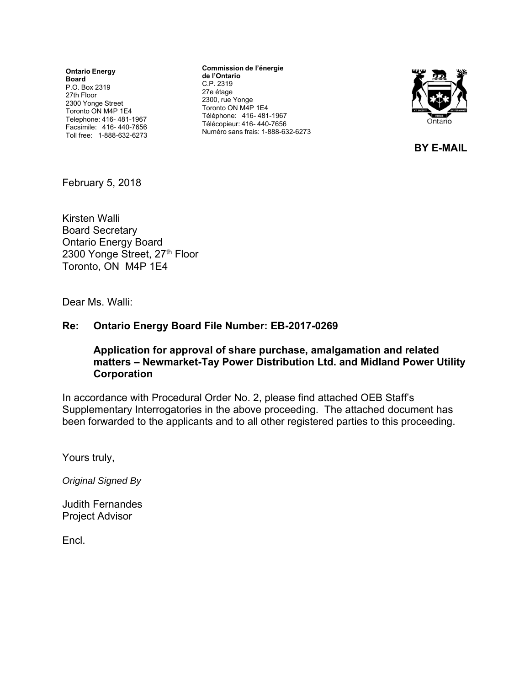**Ontario Energy Board** P.O. Box 2319 27th Floor 2300 Yonge Street Toronto ON M4P 1E4 Telephone: 416- 481-1967 Facsimile: 416- 440-7656 Toll free: 1-888-632-6273

**Commission de l'énergie de l'Ontario** C.P. 2319 27e étage 2300, rue Yonge Toronto ON M4P 1E4 Téléphone: 416- 481-1967 Télécopieur: 416- 440-7656 Numéro sans frais: 1-888-632-6273



**BY E-MAIL**

February 5, 2018

Kirsten Walli Board Secretary Ontario Energy Board 2300 Yonge Street, 27th Floor Toronto, ON M4P 1E4

Dear Ms. Walli:

#### **Re: Ontario Energy Board File Number: EB-2017-0269**

#### **Application for approval of share purchase, amalgamation and related matters – Newmarket-Tay Power Distribution Ltd. and Midland Power Utility Corporation**

In accordance with Procedural Order No. 2, please find attached OEB Staff's Supplementary Interrogatories in the above proceeding. The attached document has been forwarded to the applicants and to all other registered parties to this proceeding.

Yours truly,

*Original Signed By* 

Judith Fernandes Project Advisor

Encl.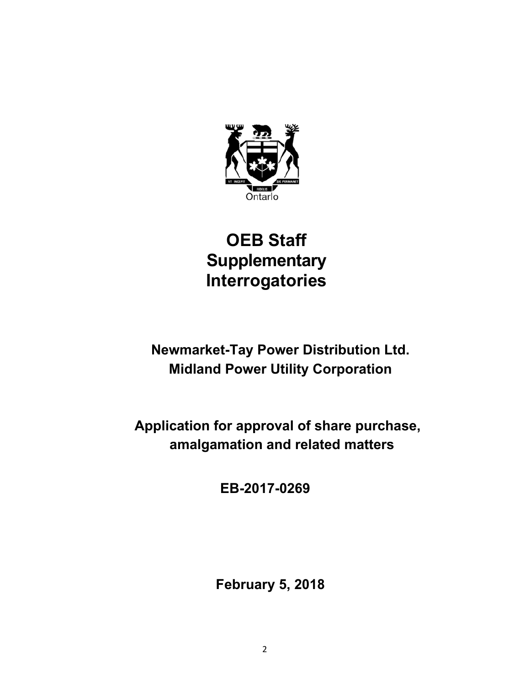

# **OEB Staff Supplementary Interrogatories**

**Newmarket-Tay Power Distribution Ltd. Midland Power Utility Corporation** 

**Application for approval of share purchase, amalgamation and related matters**

**EB-2017-0269** 

**February 5, 2018**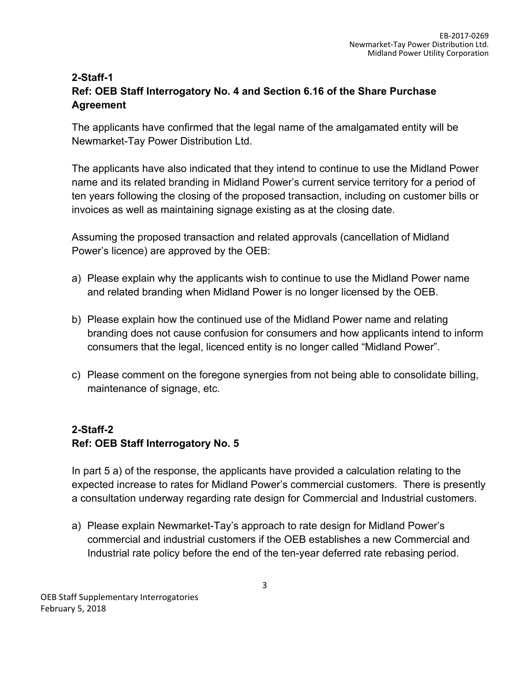## **2-Staff-1 Ref: OEB Staff Interrogatory No. 4 and Section 6.16 of the Share Purchase Agreement**

The applicants have confirmed that the legal name of the amalgamated entity will be Newmarket-Tay Power Distribution Ltd.

The applicants have also indicated that they intend to continue to use the Midland Power name and its related branding in Midland Power's current service territory for a period of ten years following the closing of the proposed transaction, including on customer bills or invoices as well as maintaining signage existing as at the closing date.

Assuming the proposed transaction and related approvals (cancellation of Midland Power's licence) are approved by the OEB:

- a) Please explain why the applicants wish to continue to use the Midland Power name and related branding when Midland Power is no longer licensed by the OEB.
- b) Please explain how the continued use of the Midland Power name and relating branding does not cause confusion for consumers and how applicants intend to inform consumers that the legal, licenced entity is no longer called "Midland Power".
- c) Please comment on the foregone synergies from not being able to consolidate billing, maintenance of signage, etc.

## **2-Staff-2 Ref: OEB Staff Interrogatory No. 5**

In part 5 a) of the response, the applicants have provided a calculation relating to the expected increase to rates for Midland Power's commercial customers. There is presently a consultation underway regarding rate design for Commercial and Industrial customers.

a) Please explain Newmarket-Tay's approach to rate design for Midland Power's commercial and industrial customers if the OEB establishes a new Commercial and Industrial rate policy before the end of the ten-year deferred rate rebasing period.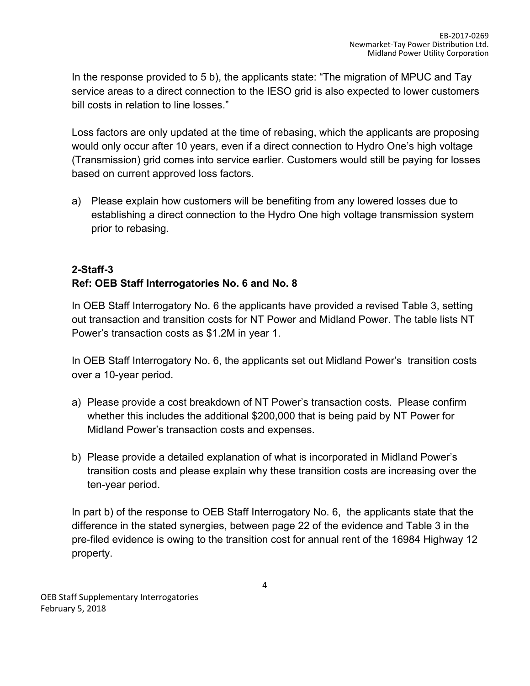In the response provided to 5 b), the applicants state: "The migration of MPUC and Tay service areas to a direct connection to the IESO grid is also expected to lower customers bill costs in relation to line losses."

Loss factors are only updated at the time of rebasing, which the applicants are proposing would only occur after 10 years, even if a direct connection to Hydro One's high voltage (Transmission) grid comes into service earlier. Customers would still be paying for losses based on current approved loss factors.

a) Please explain how customers will be benefiting from any lowered losses due to establishing a direct connection to the Hydro One high voltage transmission system prior to rebasing.

# **2-Staff-3 Ref: OEB Staff Interrogatories No. 6 and No. 8**

In OEB Staff Interrogatory No. 6 the applicants have provided a revised Table 3, setting out transaction and transition costs for NT Power and Midland Power. The table lists NT Power's transaction costs as \$1.2M in year 1.

In OEB Staff Interrogatory No. 6, the applicants set out Midland Power's transition costs over a 10-year period.

- a) Please provide a cost breakdown of NT Power's transaction costs. Please confirm whether this includes the additional \$200,000 that is being paid by NT Power for Midland Power's transaction costs and expenses.
- b) Please provide a detailed explanation of what is incorporated in Midland Power's transition costs and please explain why these transition costs are increasing over the ten-year period.

In part b) of the response to OEB Staff Interrogatory No. 6, the applicants state that the difference in the stated synergies, between page 22 of the evidence and Table 3 in the pre-filed evidence is owing to the transition cost for annual rent of the 16984 Highway 12 property.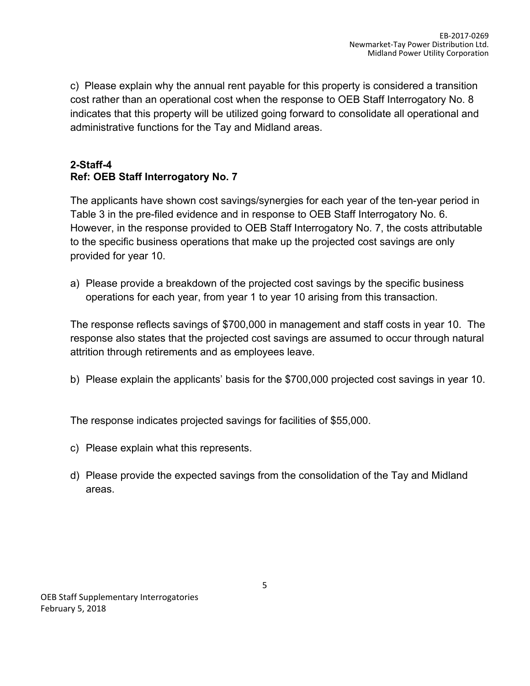c) Please explain why the annual rent payable for this property is considered a transition cost rather than an operational cost when the response to OEB Staff Interrogatory No. 8 indicates that this property will be utilized going forward to consolidate all operational and administrative functions for the Tay and Midland areas.

## **2-Staff-4 Ref: OEB Staff Interrogatory No. 7**

The applicants have shown cost savings/synergies for each year of the ten-year period in Table 3 in the pre-filed evidence and in response to OEB Staff Interrogatory No. 6. However, in the response provided to OEB Staff Interrogatory No. 7, the costs attributable to the specific business operations that make up the projected cost savings are only provided for year 10.

a) Please provide a breakdown of the projected cost savings by the specific business operations for each year, from year 1 to year 10 arising from this transaction.

The response reflects savings of \$700,000 in management and staff costs in year 10. The response also states that the projected cost savings are assumed to occur through natural attrition through retirements and as employees leave.

b) Please explain the applicants' basis for the \$700,000 projected cost savings in year 10.

The response indicates projected savings for facilities of \$55,000.

- c) Please explain what this represents.
- d) Please provide the expected savings from the consolidation of the Tay and Midland areas.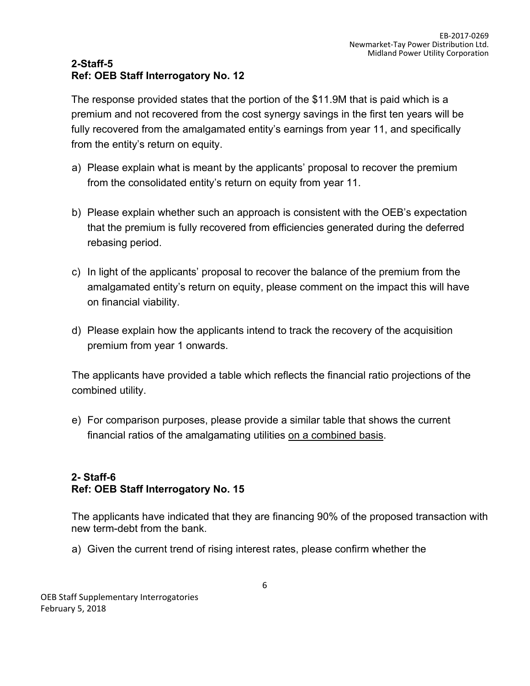## **2-Staff-5 Ref: OEB Staff Interrogatory No. 12**

The response provided states that the portion of the \$11.9M that is paid which is a premium and not recovered from the cost synergy savings in the first ten years will be fully recovered from the amalgamated entity's earnings from year 11, and specifically from the entity's return on equity.

- a) Please explain what is meant by the applicants' proposal to recover the premium from the consolidated entity's return on equity from year 11.
- b) Please explain whether such an approach is consistent with the OEB's expectation that the premium is fully recovered from efficiencies generated during the deferred rebasing period.
- c) In light of the applicants' proposal to recover the balance of the premium from the amalgamated entity's return on equity, please comment on the impact this will have on financial viability.
- d) Please explain how the applicants intend to track the recovery of the acquisition premium from year 1 onwards.

The applicants have provided a table which reflects the financial ratio projections of the combined utility.

e) For comparison purposes, please provide a similar table that shows the current financial ratios of the amalgamating utilities on a combined basis.

## **2- Staff-6 Ref: OEB Staff Interrogatory No. 15**

The applicants have indicated that they are financing 90% of the proposed transaction with new term-debt from the bank.

a) Given the current trend of rising interest rates, please confirm whether the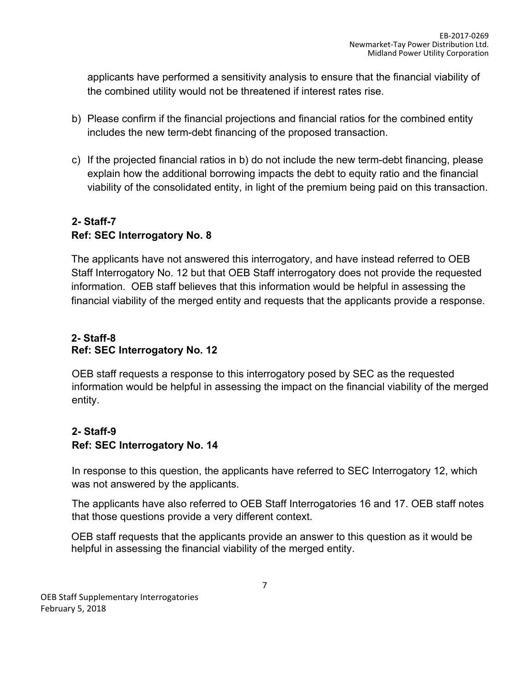applicants have performed a sensitivity analysis to ensure that the financial viability of the combined utility would not be threatened if interest rates rise.

- b) Please confirm if the financial projections and financial ratios for the combined entity includes the new term-debt financing of the proposed transaction.
- c) If the projected financial ratios in b) do not include the new term-debt financing, please explain how the additional borrowing impacts the debt to equity ratio and the financial viability of the consolidated entity, in light of the premium being paid on this transaction.

# **2- Staff-7 Ref: SEC Interrogatory No. 8**

The applicants have not answered this interrogatory, and have instead referred to OEB Staff Interrogatory No. 12 but that OEB Staff interrogatory does not provide the requested information. OEB staff believes that this information would be helpful in assessing the financial viability of the merged entity and requests that the applicants provide a response.

## **2- Staff-8 Ref: SEC Interrogatory No. 12**

OEB staff requests a response to this interrogatory posed by SEC as the requested information would be helpful in assessing the impact on the financial viability of the merged entity.

## **2- Staff-9 Ref: SEC Interrogatory No. 14**

In response to this question, the applicants have referred to SEC Interrogatory 12, which was not answered by the applicants.

The applicants have also referred to OEB Staff Interrogatories 16 and 17. OEB staff notes that those questions provide a very different context.

OEB staff requests that the applicants provide an answer to this question as it would be helpful in assessing the financial viability of the merged entity.

OEB Staff Supplementary Interrogatories February 5, 2018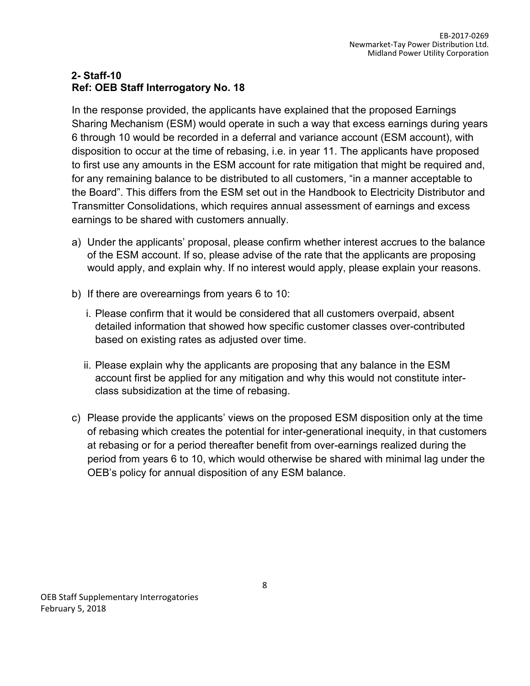## **2- Staff-10 Ref: OEB Staff Interrogatory No. 18**

In the response provided, the applicants have explained that the proposed Earnings Sharing Mechanism (ESM) would operate in such a way that excess earnings during years 6 through 10 would be recorded in a deferral and variance account (ESM account), with disposition to occur at the time of rebasing, i.e. in year 11. The applicants have proposed to first use any amounts in the ESM account for rate mitigation that might be required and, for any remaining balance to be distributed to all customers, "in a manner acceptable to the Board". This differs from the ESM set out in the Handbook to Electricity Distributor and Transmitter Consolidations, which requires annual assessment of earnings and excess earnings to be shared with customers annually.

- a) Under the applicants' proposal, please confirm whether interest accrues to the balance of the ESM account. If so, please advise of the rate that the applicants are proposing would apply, and explain why. If no interest would apply, please explain your reasons.
- b) If there are overearnings from years 6 to 10:
	- i. Please confirm that it would be considered that all customers overpaid, absent detailed information that showed how specific customer classes over-contributed based on existing rates as adjusted over time.
	- ii. Please explain why the applicants are proposing that any balance in the ESM account first be applied for any mitigation and why this would not constitute interclass subsidization at the time of rebasing.
- c) Please provide the applicants' views on the proposed ESM disposition only at the time of rebasing which creates the potential for inter-generational inequity, in that customers at rebasing or for a period thereafter benefit from over-earnings realized during the period from years 6 to 10, which would otherwise be shared with minimal lag under the OEB's policy for annual disposition of any ESM balance.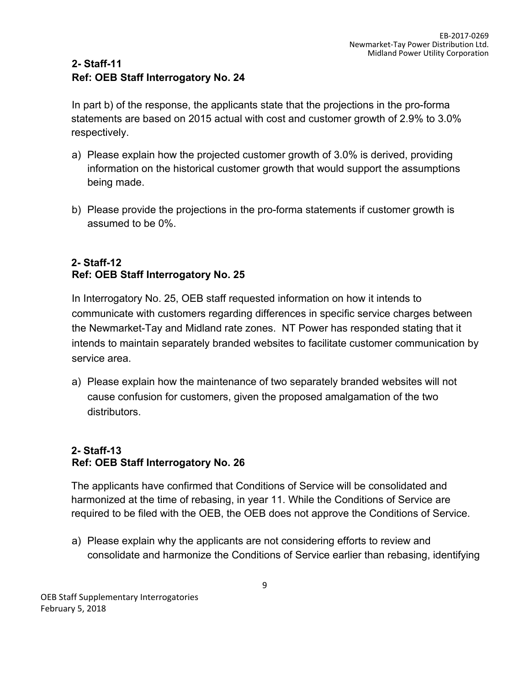## **2- Staff-11 Ref: OEB Staff Interrogatory No. 24**

In part b) of the response, the applicants state that the projections in the pro-forma statements are based on 2015 actual with cost and customer growth of 2.9% to 3.0% respectively.

- a) Please explain how the projected customer growth of 3.0% is derived, providing information on the historical customer growth that would support the assumptions being made.
- b) Please provide the projections in the pro-forma statements if customer growth is assumed to be 0%.

## **2- Staff-12 Ref: OEB Staff Interrogatory No. 25**

In Interrogatory No. 25, OEB staff requested information on how it intends to communicate with customers regarding differences in specific service charges between the Newmarket-Tay and Midland rate zones. NT Power has responded stating that it intends to maintain separately branded websites to facilitate customer communication by service area.

a) Please explain how the maintenance of two separately branded websites will not cause confusion for customers, given the proposed amalgamation of the two distributors.

## **2- Staff-13 Ref: OEB Staff Interrogatory No. 26**

The applicants have confirmed that Conditions of Service will be consolidated and harmonized at the time of rebasing, in year 11. While the Conditions of Service are required to be filed with the OEB, the OEB does not approve the Conditions of Service.

a) Please explain why the applicants are not considering efforts to review and consolidate and harmonize the Conditions of Service earlier than rebasing, identifying